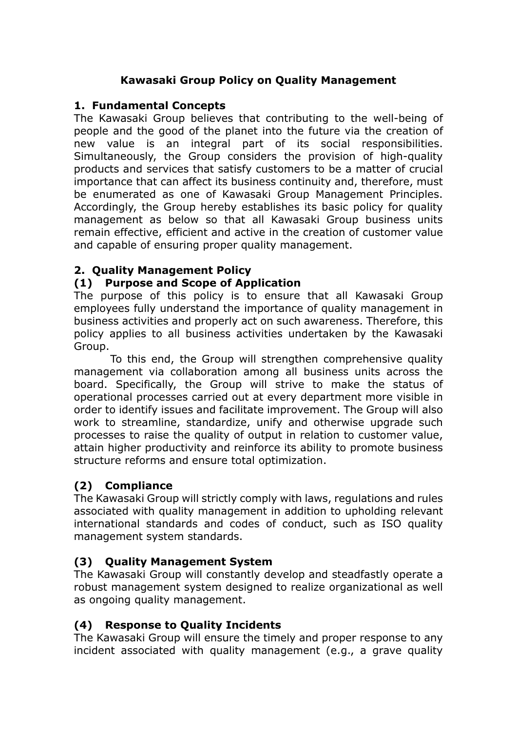## **Kawasaki Group Policy on Quality Management**

#### **1. Fundamental Concepts**

The Kawasaki Group believes that contributing to the well-being of people and the good of the planet into the future via the creation of new value is an integral part of its social responsibilities. Simultaneously, the Group considers the provision of high-quality products and services that satisfy customers to be a matter of crucial importance that can affect its business continuity and, therefore, must be enumerated as one of Kawasaki Group Management Principles. Accordingly, the Group hereby establishes its basic policy for quality management as below so that all Kawasaki Group business units remain effective, efficient and active in the creation of customer value and capable of ensuring proper quality management.

#### **2. Quality Management Policy**

#### **(1) Purpose and Scope of Application**

The purpose of this policy is to ensure that all Kawasaki Group employees fully understand the importance of quality management in business activities and properly act on such awareness. Therefore, this policy applies to all business activities undertaken by the Kawasaki Group.

To this end, the Group will strengthen comprehensive quality management via collaboration among all business units across the board. Specifically, the Group will strive to make the status of operational processes carried out at every department more visible in order to identify issues and facilitate improvement. The Group will also work to streamline, standardize, unify and otherwise upgrade such processes to raise the quality of output in relation to customer value, attain higher productivity and reinforce its ability to promote business structure reforms and ensure total optimization.

### **(2) Compliance**

The Kawasaki Group will strictly comply with laws, regulations and rules associated with quality management in addition to upholding relevant international standards and codes of conduct, such as ISO quality management system standards.

### **(3) Quality Management System**

The Kawasaki Group will constantly develop and steadfastly operate a robust management system designed to realize organizational as well as ongoing quality management.

### **(4) Response to Quality Incidents**

The Kawasaki Group will ensure the timely and proper response to any incident associated with quality management (e.g., a grave quality